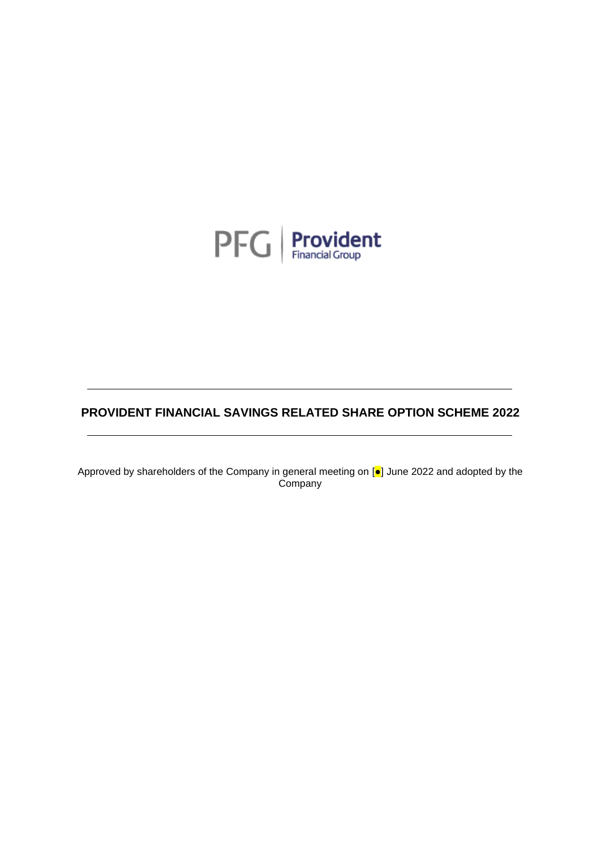

# **PROVIDENT FINANCIAL SAVINGS RELATED SHARE OPTION SCHEME 2022**

Approved by shareholders of the Company in general meeting on [●] June 2022 and adopted by the Company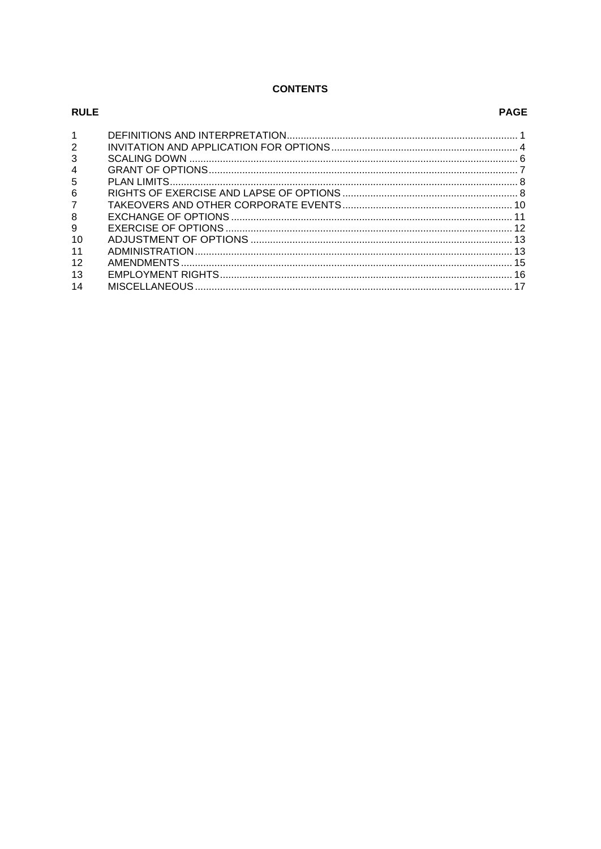# **CONTENTS**

| <b>RULE</b>    | <b>PAGE</b> |
|----------------|-------------|
|                |             |
| $\overline{2}$ |             |
| 3              |             |
| $\overline{4}$ |             |
| 5              |             |
| 6              |             |
|                |             |
| 8              |             |
| 9              |             |
| 10             |             |
| 11             |             |
| 12             |             |
| 13             |             |
| 14             |             |

# **DACE**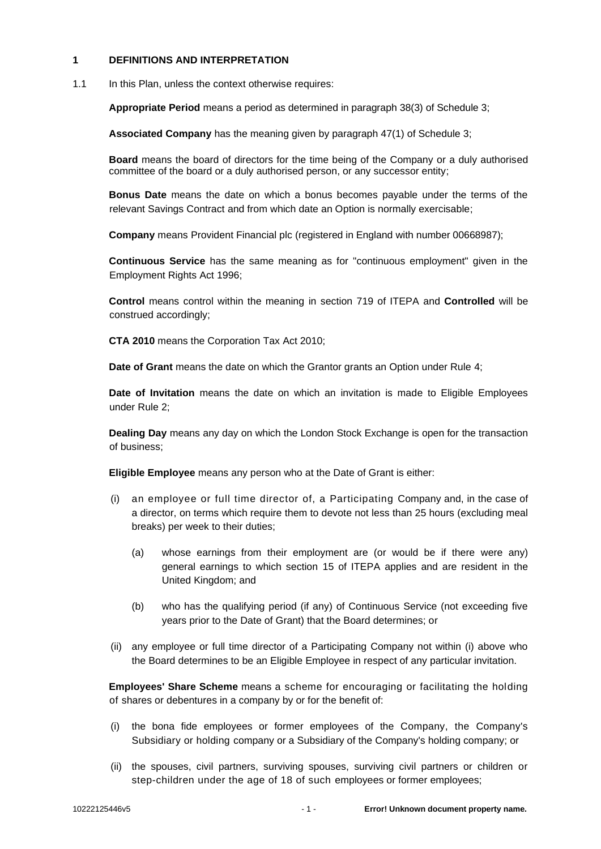# **1 DEFINITIONS AND INTERPRETATION**

1.1 In this Plan, unless the context otherwise requires:

**Appropriate Period** means a period as determined in paragraph 38(3) of Schedule 3;

**Associated Company** has the meaning given by paragraph 47(1) of Schedule 3;

**Board** means the board of directors for the time being of the Company or a duly authorised committee of the board or a duly authorised person, or any successor entity;

**Bonus Date** means the date on which a bonus becomes payable under the terms of the relevant Savings Contract and from which date an Option is normally exercisable;

**Company** means Provident Financial plc (registered in England with number 00668987);

**Continuous Service** has the same meaning as for "continuous employment" given in the Employment Rights Act 1996;

**Control** means control within the meaning in section 719 of ITEPA and **Controlled** will be construed accordingly;

**CTA 2010** means the Corporation Tax Act 2010;

**Date of Grant** means the date on which the Grantor grants an Option under Rule [4;](#page-8-0)

**Date of Invitation** means the date on which an invitation is made to Eligible Employees under Rule [2;](#page-5-0)

**Dealing Day** means any day on which the London Stock Exchange is open for the transaction of business;

**Eligible Employee** means any person who at the Date of Grant is either:

- (i) an employee or full time director of, a Participating Company and, in the case of a director, on terms which require them to devote not less than 25 hours (excluding meal breaks) per week to their duties;
	- (a) whose earnings from their employment are (or would be if there were any) general earnings to which section 15 of ITEPA applies and are resident in the United Kingdom; and
	- (b) who has the qualifying period (if any) of Continuous Service (not exceeding five years prior to the Date of Grant) that the Board determines; or
- (ii) any employee or full time director of a Participating Company not within (i) above who the Board determines to be an Eligible Employee in respect of any particular invitation.

**Employees' Share Scheme** means a scheme for encouraging or facilitating the holding of shares or debentures in a company by or for the benefit of:

- (i) the bona fide employees or former employees of the Company, the Company's Subsidiary or holding company or a Subsidiary of the Company's holding company; or
- (ii) the spouses, civil partners, surviving spouses, surviving civil partners or children or step-children under the age of 18 of such employees or former employees;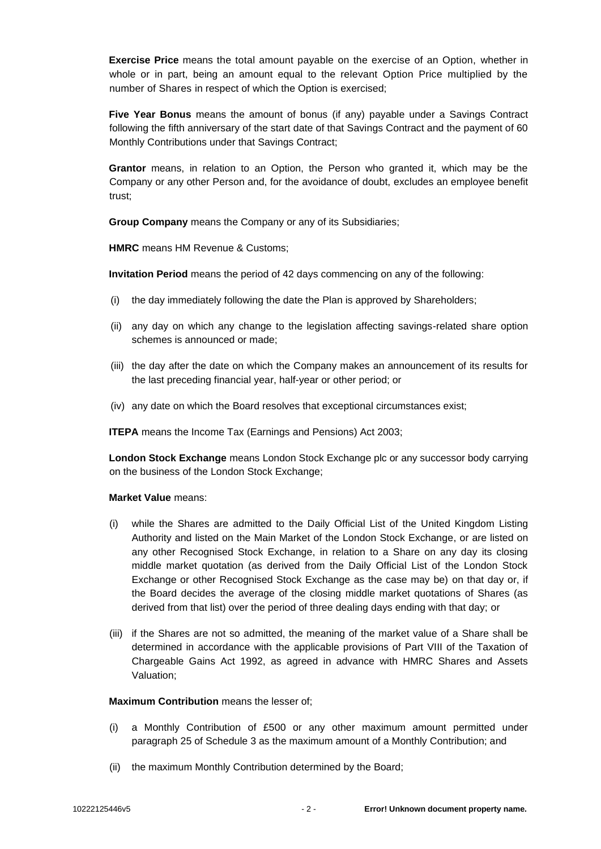**Exercise Price** means the total amount payable on the exercise of an Option, whether in whole or in part, being an amount equal to the relevant Option Price multiplied by the number of Shares in respect of which the Option is exercised;

**Five Year Bonus** means the amount of bonus (if any) payable under a Savings Contract following the fifth anniversary of the start date of that Savings Contract and the payment of 60 Monthly Contributions under that Savings Contract;

**Grantor** means, in relation to an Option, the Person who granted it, which may be the Company or any other Person and, for the avoidance of doubt, excludes an employee benefit trust;

**Group Company** means the Company or any of its Subsidiaries;

**HMRC** means HM Revenue & Customs;

**Invitation Period** means the period of 42 days commencing on any of the following:

- (i) the day immediately following the date the Plan is approved by Shareholders;
- (ii) any day on which any change to the legislation affecting savings-related share option schemes is announced or made;
- (iii) the day after the date on which the Company makes an announcement of its results for the last preceding financial year, half-year or other period; or
- (iv) any date on which the Board resolves that exceptional circumstances exist;

**ITEPA** means the Income Tax (Earnings and Pensions) Act 2003;

**London Stock Exchange** means London Stock Exchange plc or any successor body carrying on the business of the London Stock Exchange;

## **Market Value** means:

- (i) while the Shares are admitted to the Daily Official List of the United Kingdom Listing Authority and listed on the Main Market of the London Stock Exchange, or are listed on any other Recognised Stock Exchange, in relation to a Share on any day its closing middle market quotation (as derived from the Daily Official List of the London Stock Exchange or other Recognised Stock Exchange as the case may be) on that day or, if the Board decides the average of the closing middle market quotations of Shares (as derived from that list) over the period of three dealing days ending with that day; or
- (iii) if the Shares are not so admitted, the meaning of the market value of a Share shall be determined in accordance with the applicable provisions of Part VIII of the Taxation of Chargeable Gains Act 1992, as agreed in advance with HMRC Shares and Assets Valuation;

## **Maximum Contribution** means the lesser of;

- (i) a Monthly Contribution of £500 or any other maximum amount permitted under paragraph 25 of Schedule 3 as the maximum amount of a Monthly Contribution; and
- (ii) the maximum Monthly Contribution determined by the Board;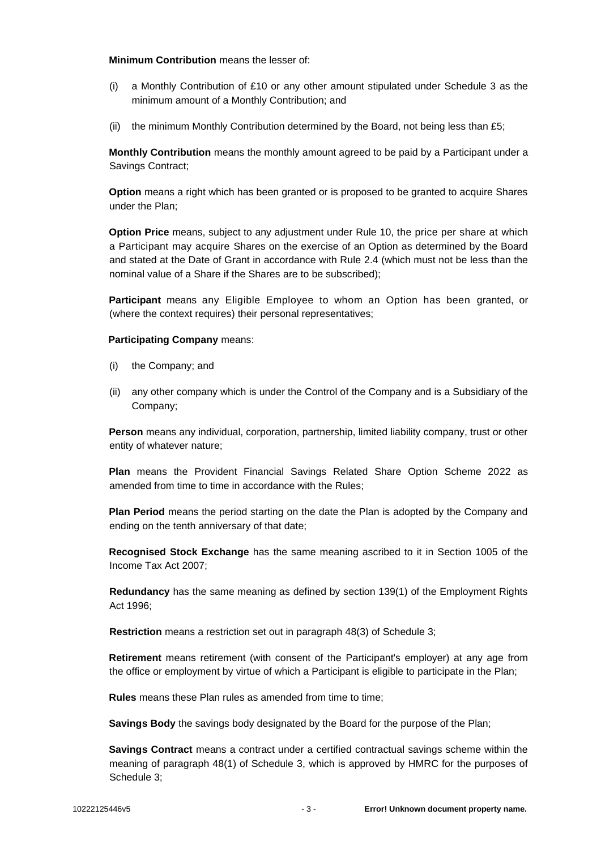## **Minimum Contribution** means the lesser of:

- (i) a Monthly Contribution of £10 or any other amount stipulated under Schedule 3 as the minimum amount of a Monthly Contribution; and
- (ii) the minimum Monthly Contribution determined by the Board, not being less than £5;

**Monthly Contribution** means the monthly amount agreed to be paid by a Participant under a Savings Contract;

**Option** means a right which has been granted or is proposed to be granted to acquire Shares under the Plan;

**Option Price** means, subject to any adjustment under Rule [10,](#page-14-0) the price per share at which a Participant may acquire Shares on the exercise of an Option as determined by the Board and stated at the Date of Grant in accordance with Rule [2.4](#page-6-0) (which must not be less than the nominal value of a Share if the Shares are to be subscribed);

**Participant** means any Eligible Employee to whom an Option has been granted, or (where the context requires) their personal representatives;

# **Participating Company** means:

- (i) the Company; and
- (ii) any other company which is under the Control of the Company and is a Subsidiary of the Company;

**Person** means any individual, corporation, partnership, limited liability company, trust or other entity of whatever nature;

**Plan** means the Provident Financial Savings Related Share Option Scheme 2022 as amended from time to time in accordance with the Rules;

**Plan Period** means the period starting on the date the Plan is adopted by the Company and ending on the tenth anniversary of that date;

**Recognised Stock Exchange** has the same meaning ascribed to it in Section 1005 of the Income Tax Act 2007;

**Redundancy** has the same meaning as defined by section 139(1) of the Employment Rights Act 1996;

**Restriction** means a restriction set out in paragraph 48(3) of Schedule 3;

**Retirement** means retirement (with consent of the Participant's employer) at any age from the office or employment by virtue of which a Participant is eligible to participate in the Plan;

**Rules** means these Plan rules as amended from time to time;

**Savings Body** the savings body designated by the Board for the purpose of the Plan;

**Savings Contract** means a contract under a certified contractual savings scheme within the meaning of paragraph 48(1) of Schedule 3, which is approved by HMRC for the purposes of Schedule 3;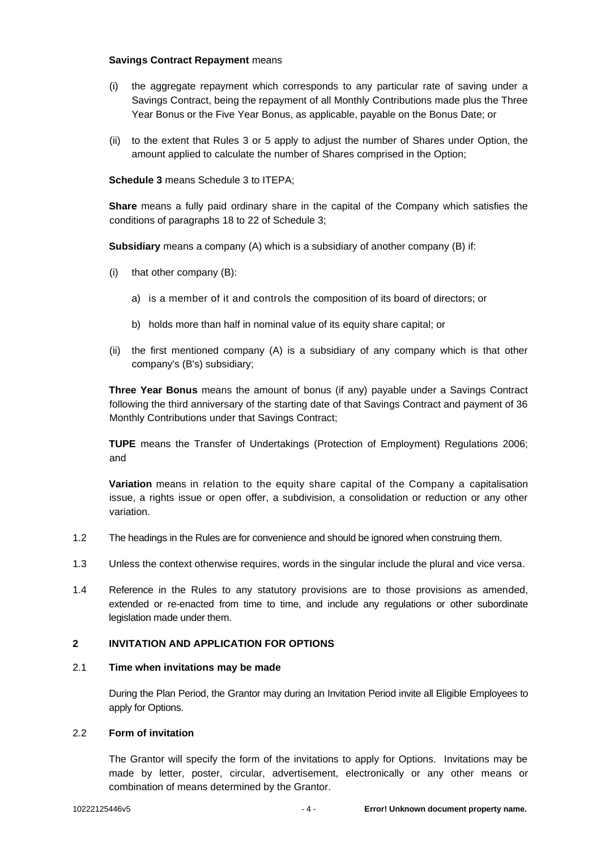## **Savings Contract Repayment** means

- (i) the aggregate repayment which corresponds to any particular rate of saving under a Savings Contract, being the repayment of all Monthly Contributions made plus the Three Year Bonus or the Five Year Bonus, as applicable, payable on the Bonus Date; or
- (ii) to the extent that Rules [3](#page-7-0) or [5](#page-9-0) apply to adjust the number of Shares under Option, the amount applied to calculate the number of Shares comprised in the Option;

**Schedule 3** means Schedule 3 to ITEPA;

**Share** means a fully paid ordinary share in the capital of the Company which satisfies the conditions of paragraphs 18 to 22 of Schedule 3;

**Subsidiary** means a company (A) which is a subsidiary of another company (B) if:

- (i) that other company (B):
	- a) is a member of it and controls the composition of its board of directors; or
	- b) holds more than half in nominal value of its equity share capital; or
- (ii) the first mentioned company (A) is a subsidiary of any company which is that other company's (B's) subsidiary;

**Three Year Bonus** means the amount of bonus (if any) payable under a Savings Contract following the third anniversary of the starting date of that Savings Contract and payment of 36 Monthly Contributions under that Savings Contract;

**TUPE** means the Transfer of Undertakings (Protection of Employment) Regulations 2006; and

**Variation** means in relation to the equity share capital of the Company a capitalisation issue, a rights issue or open offer, a subdivision, a consolidation or reduction or any other variation.

- 1.2 The headings in the Rules are for convenience and should be ignored when construing them.
- 1.3 Unless the context otherwise requires, words in the singular include the plural and vice versa.
- 1.4 Reference in the Rules to any statutory provisions are to those provisions as amended, extended or re-enacted from time to time, and include any regulations or other subordinate legislation made under them.

## <span id="page-5-0"></span>**2 INVITATION AND APPLICATION FOR OPTIONS**

# 2.1 **Time when invitations may be made**

During the Plan Period, the Grantor may during an Invitation Period invite all Eligible Employees to apply for Options.

# 2.2 **Form of invitation**

The Grantor will specify the form of the invitations to apply for Options. Invitations may be made by letter, poster, circular, advertisement, electronically or any other means or combination of means determined by the Grantor.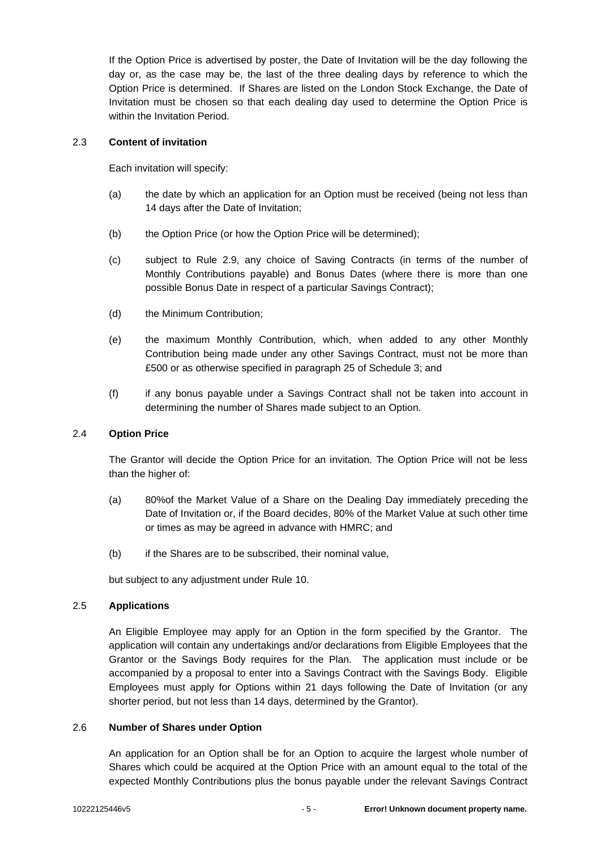If the Option Price is advertised by poster, the Date of Invitation will be the day following the day or, as the case may be, the last of the three dealing days by reference to which the Option Price is determined. If Shares are listed on the London Stock Exchange, the Date of Invitation must be chosen so that each dealing day used to determine the Option Price is within the Invitation Period.

# 2.3 **Content of invitation**

Each invitation will specify:

- (a) the date by which an application for an Option must be received (being not less than 14 days after the Date of Invitation;
- (b) the Option Price (or how the Option Price will be determined);
- (c) subject to Rule [2.9,](#page-7-1) any choice of Saving Contracts (in terms of the number of Monthly Contributions payable) and Bonus Dates (where there is more than one possible Bonus Date in respect of a particular Savings Contract);
- (d) the Minimum Contribution;
- (e) the maximum Monthly Contribution, which, when added to any other Monthly Contribution being made under any other Savings Contract, must not be more than £500 or as otherwise specified in paragraph 25 of Schedule 3; and
- (f) if any bonus payable under a Savings Contract shall not be taken into account in determining the number of Shares made subject to an Option.

## <span id="page-6-0"></span>2.4 **Option Price**

The Grantor will decide the Option Price for an invitation. The Option Price will not be less than the higher of:

- (a) 80%of the Market Value of a Share on the Dealing Day immediately preceding the Date of Invitation or, if the Board decides, 80% of the Market Value at such other time or times as may be agreed in advance with HMRC; and
- (b) if the Shares are to be subscribed, their nominal value,

but subject to any adjustment under Rule [10.](#page-14-0)

## 2.5 **Applications**

An Eligible Employee may apply for an Option in the form specified by the Grantor. The application will contain any undertakings and/or declarations from Eligible Employees that the Grantor or the Savings Body requires for the Plan. The application must include or be accompanied by a proposal to enter into a Savings Contract with the Savings Body. Eligible Employees must apply for Options within 21 days following the Date of Invitation (or any shorter period, but not less than 14 days, determined by the Grantor).

## 2.6 **Number of Shares under Option**

An application for an Option shall be for an Option to acquire the largest whole number of Shares which could be acquired at the Option Price with an amount equal to the total of the expected Monthly Contributions plus the bonus payable under the relevant Savings Contract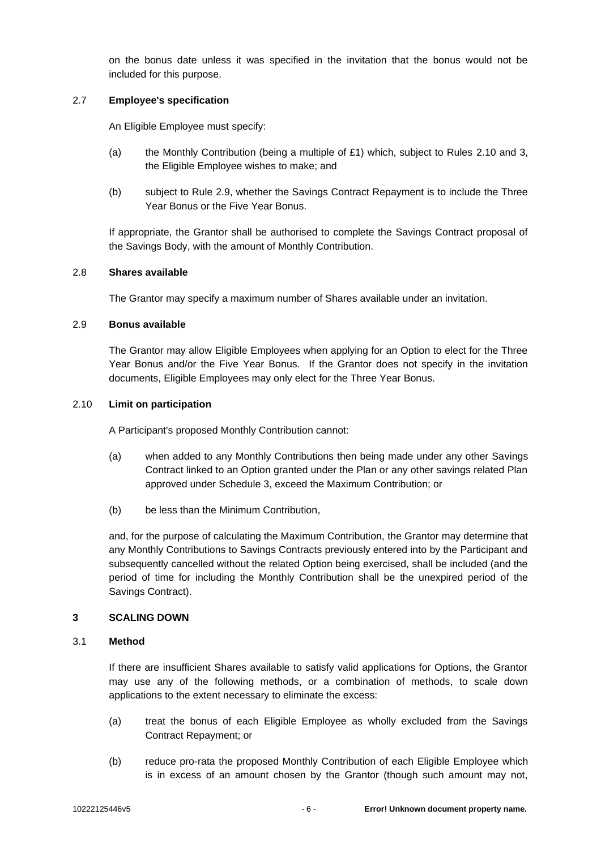on the bonus date unless it was specified in the invitation that the bonus would not be included for this purpose.

# 2.7 **Employee's specification**

An Eligible Employee must specify:

- (a) the Monthly Contribution (being a multiple of  $£1)$  which, subject to Rules [2.10](#page-7-2) and [3,](#page-7-0) the Eligible Employee wishes to make; and
- (b) subject to Rule [2.9,](#page-7-1) whether the Savings Contract Repayment is to include the Three Year Bonus or the Five Year Bonus.

If appropriate, the Grantor shall be authorised to complete the Savings Contract proposal of the Savings Body, with the amount of Monthly Contribution.

# 2.8 **Shares available**

The Grantor may specify a maximum number of Shares available under an invitation.

# <span id="page-7-1"></span>2.9 **Bonus available**

The Grantor may allow Eligible Employees when applying for an Option to elect for the Three Year Bonus and/or the Five Year Bonus. If the Grantor does not specify in the invitation documents, Eligible Employees may only elect for the Three Year Bonus.

# <span id="page-7-2"></span>2.10 **Limit on participation**

A Participant's proposed Monthly Contribution cannot:

- (a) when added to any Monthly Contributions then being made under any other Savings Contract linked to an Option granted under the Plan or any other savings related Plan approved under Schedule 3, exceed the Maximum Contribution; or
- (b) be less than the Minimum Contribution,

and, for the purpose of calculating the Maximum Contribution, the Grantor may determine that any Monthly Contributions to Savings Contracts previously entered into by the Participant and subsequently cancelled without the related Option being exercised, shall be included (and the period of time for including the Monthly Contribution shall be the unexpired period of the Savings Contract).

# <span id="page-7-0"></span>**3 SCALING DOWN**

## 3.1 **Method**

If there are insufficient Shares available to satisfy valid applications for Options, the Grantor may use any of the following methods, or a combination of methods, to scale down applications to the extent necessary to eliminate the excess:

- (a) treat the bonus of each Eligible Employee as wholly excluded from the Savings Contract Repayment; or
- (b) reduce pro-rata the proposed Monthly Contribution of each Eligible Employee which is in excess of an amount chosen by the Grantor (though such amount may not,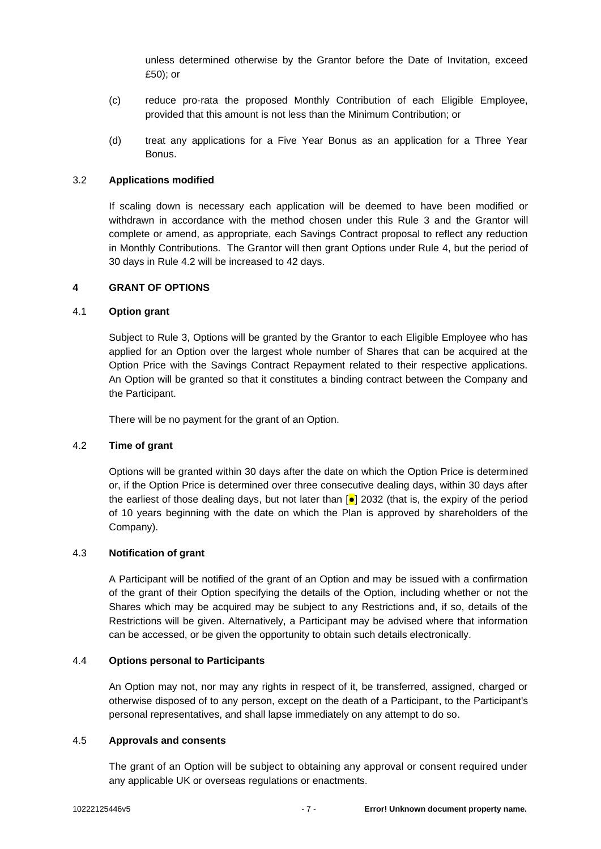unless determined otherwise by the Grantor before the Date of Invitation, exceed £50); or

- (c) reduce pro-rata the proposed Monthly Contribution of each Eligible Employee, provided that this amount is not less than the Minimum Contribution; or
- (d) treat any applications for a Five Year Bonus as an application for a Three Year Bonus.

# 3.2 **Applications modified**

If scaling down is necessary each application will be deemed to have been modified or withdrawn in accordance with the method chosen under this Rule [3](#page-7-0) and the Grantor will complete or amend, as appropriate, each Savings Contract proposal to reflect any reduction in Monthly Contributions. The Grantor will then grant Options under Rule [4,](#page-8-0) but the period of 30 days in Rule [4.2](#page-8-1) will be increased to 42 days.

# <span id="page-8-0"></span>**4 GRANT OF OPTIONS**

## 4.1 **Option grant**

Subject to Rule [3,](#page-7-0) Options will be granted by the Grantor to each Eligible Employee who has applied for an Option over the largest whole number of Shares that can be acquired at the Option Price with the Savings Contract Repayment related to their respective applications. An Option will be granted so that it constitutes a binding contract between the Company and the Participant.

There will be no payment for the grant of an Option.

## <span id="page-8-1"></span>4.2 **Time of grant**

Options will be granted within 30 days after the date on which the Option Price is determined or, if the Option Price is determined over three consecutive dealing days, within 30 days after the earliest of those dealing days, but not later than  $\left[\bullet\right]$  2032 (that is, the expiry of the period of 10 years beginning with the date on which the Plan is approved by shareholders of the Company).

## 4.3 **Notification of grant**

A Participant will be notified of the grant of an Option and may be issued with a confirmation of the grant of their Option specifying the details of the Option, including whether or not the Shares which may be acquired may be subject to any Restrictions and, if so, details of the Restrictions will be given. Alternatively, a Participant may be advised where that information can be accessed, or be given the opportunity to obtain such details electronically.

## 4.4 **Options personal to Participants**

An Option may not, nor may any rights in respect of it, be transferred, assigned, charged or otherwise disposed of to any person, except on the death of a Participant, to the Participant's personal representatives, and shall lapse immediately on any attempt to do so.

## 4.5 **Approvals and consents**

The grant of an Option will be subject to obtaining any approval or consent required under any applicable UK or overseas regulations or enactments.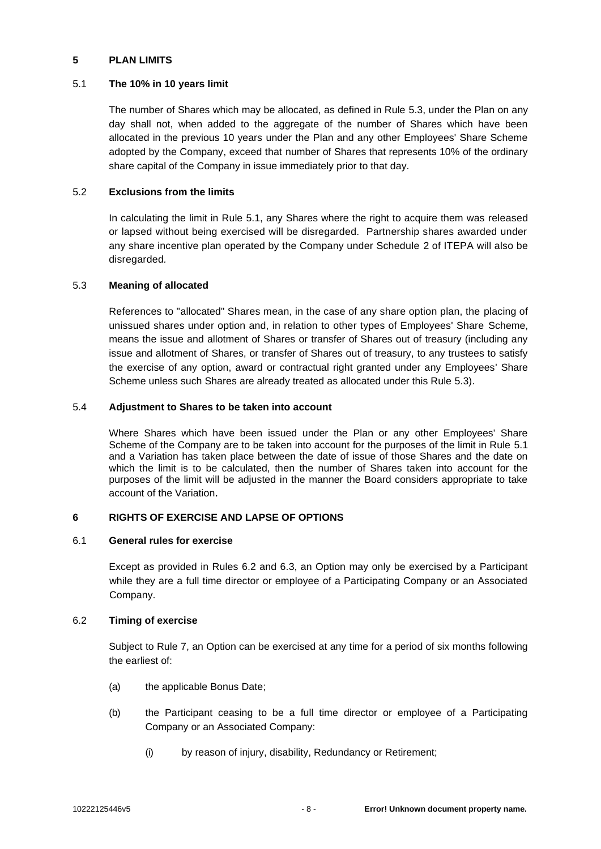# <span id="page-9-0"></span>**5 PLAN LIMITS**

# <span id="page-9-2"></span>5.1 **The 10% in 10 years limit**

The number of Shares which may be allocated, as defined in Rule [5.3,](#page-9-1) under the Plan on any day shall not, when added to the aggregate of the number of Shares which have been allocated in the previous 10 years under the Plan and any other Employees' Share Scheme adopted by the Company, exceed that number of Shares that represents 10% of the ordinary share capital of the Company in issue immediately prior to that day.

# 5.2 **Exclusions from the limits**

In calculating the limit in Rule [5.1,](#page-9-2) any Shares where the right to acquire them was released or lapsed without being exercised will be disregarded. Partnership shares awarded under any share incentive plan operated by the Company under Schedule 2 of ITEPA will also be disregarded*.* 

# <span id="page-9-1"></span>5.3 **Meaning of allocated**

References to "allocated" Shares mean, in the case of any share option plan, the placing of unissued shares under option and, in relation to other types of Employees' Share Scheme, means the issue and allotment of Shares or transfer of Shares out of treasury (including any issue and allotment of Shares, or transfer of Shares out of treasury, to any trustees to satisfy the exercise of any option, award or contractual right granted under any Employees' Share Scheme unless such Shares are already treated as allocated under this Rule [5.3\)](#page-9-1).

# 5.4 **Adjustment to Shares to be taken into account**

Where Shares which have been issued under the Plan or any other Employees' Share Scheme of the Company are to be taken into account for the purposes of the limit in Rule [5.1](#page-9-2) and a Variation has taken place between the date of issue of those Shares and the date on which the limit is to be calculated, then the number of Shares taken into account for the purposes of the limit will be adjusted in the manner the Board considers appropriate to take account of the Variation.

# <span id="page-9-5"></span>**6 RIGHTS OF EXERCISE AND LAPSE OF OPTIONS**

## 6.1 **General rules for exercise**

Except as provided in Rules [6.2](#page-9-3) and [6.3,](#page-10-0) an Option may only be exercised by a Participant while they are a full time director or employee of a Participating Company or an Associated Company.

## <span id="page-9-3"></span>6.2 **Timing of exercise**

Subject to Rule [7,](#page-11-0) an Option can be exercised at any time for a period of six months following the earliest of:

- (a) the applicable Bonus Date;
- <span id="page-9-4"></span>(b) the Participant ceasing to be a full time director or employee of a Participating Company or an Associated Company:
	- (i) by reason of injury, disability, Redundancy or Retirement;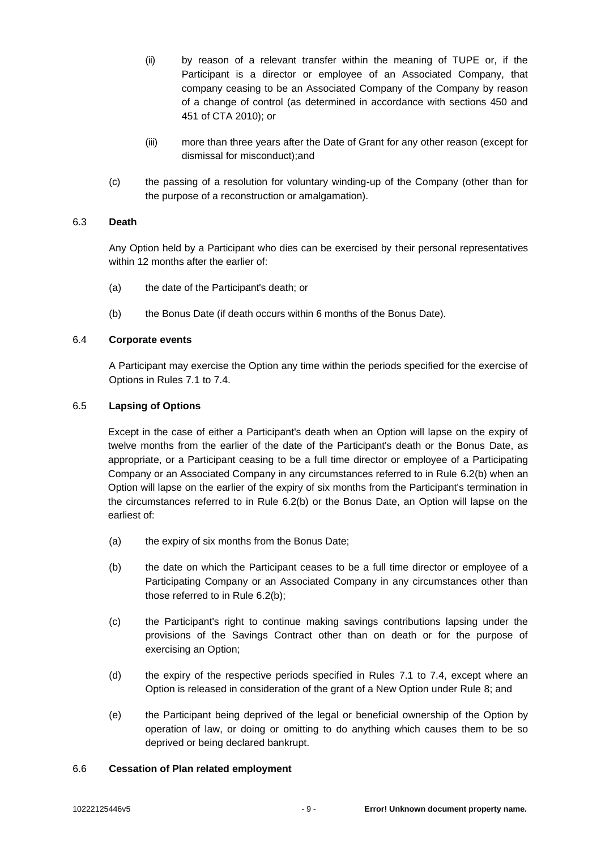- (ii) by reason of a relevant transfer within the meaning of TUPE or, if the Participant is a director or employee of an Associated Company, that company ceasing to be an Associated Company of the Company by reason of a change of control (as determined in accordance with sections 450 and 451 of CTA 2010); or
- (iii) more than three years after the Date of Grant for any other reason (except for dismissal for misconduct);and
- (c) the passing of a resolution for voluntary winding-up of the Company (other than for the purpose of a reconstruction or amalgamation).

# <span id="page-10-0"></span>6.3 **Death**

Any Option held by a Participant who dies can be exercised by their personal representatives within 12 months after the earlier of:

- (a) the date of the Participant's death; or
- (b) the Bonus Date (if death occurs within 6 months of the Bonus Date).

# 6.4 **Corporate events**

A Participant may exercise the Option any time within the periods specified for the exercise of Options in Rules [7.1](#page-11-1) to [7.4.](#page-11-2)

# <span id="page-10-1"></span>6.5 **Lapsing of Options**

Except in the case of either a Participant's death when an Option will lapse on the expiry of twelve months from the earlier of the date of the Participant's death or the Bonus Date, as appropriate, or a Participant ceasing to be a full time director or employee of a Participating Company or an Associated Company in any circumstances referred to in Rule [6.2\(b\)](#page-9-4) when an Option will lapse on the earlier of the expiry of six months from the Participant's termination in the circumstances referred to in Rule 6.2(b) or the Bonus Date, an Option will lapse on the earliest of:

- (a) the expiry of six months from the Bonus Date;
- (b) the date on which the Participant ceases to be a full time director or employee of a Participating Company or an Associated Company in any circumstances other than those referred to in Rule [6.2\(b\);](#page-9-4)
- (c) the Participant's right to continue making savings contributions lapsing under the provisions of the Savings Contract other than on death or for the purpose of exercising an Option;
- (d) the expiry of the respective periods specified in Rules [7.1](#page-11-1) to [7.4,](#page-11-2) except where an Option is released in consideration of the grant of a New Option under Rule [8;](#page-12-0) and
- (e) the Participant being deprived of the legal or beneficial ownership of the Option by operation of law, or doing or omitting to do anything which causes them to be so deprived or being declared bankrupt.

## <span id="page-10-2"></span>6.6 **Cessation of Plan related employment**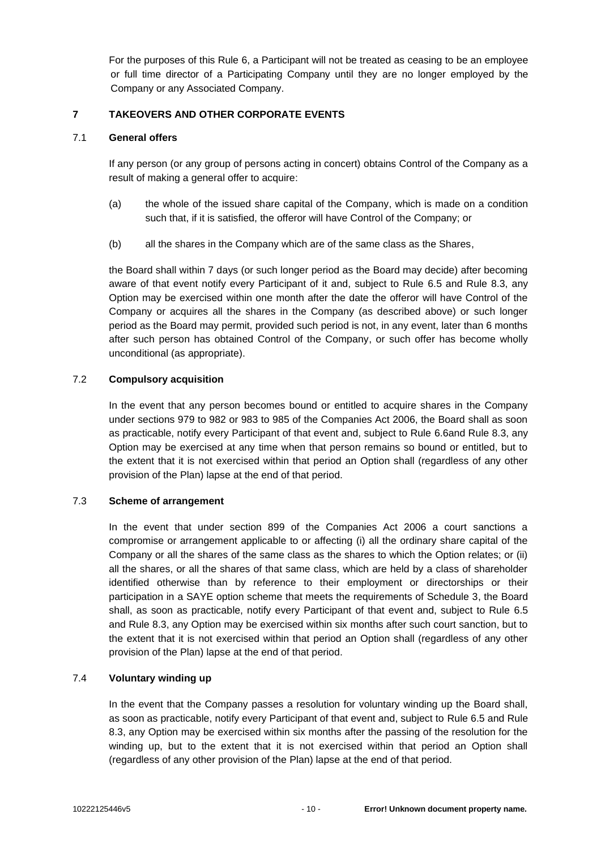For the purposes of this Rule [6,](#page-9-5) a Participant will not be treated as ceasing to be an employee or full time director of a Participating Company until they are no longer employed by the Company or any Associated Company.

# <span id="page-11-0"></span>**7 TAKEOVERS AND OTHER CORPORATE EVENTS**

# <span id="page-11-1"></span>7.1 **General offers**

If any person (or any group of persons acting in concert) obtains Control of the Company as a result of making a general offer to acquire:

- (a) the whole of the issued share capital of the Company, which is made on a condition such that, if it is satisfied, the offeror will have Control of the Company; or
- (b) all the shares in the Company which are of the same class as the Shares,

the Board shall within 7 days (or such longer period as the Board may decide) after becoming aware of that event notify every Participant of it and, subject to Rule [6.5](#page-10-1) and Rule [8.3,](#page-12-1) any Option may be exercised within one month after the date the offeror will have Control of the Company or acquires all the shares in the Company (as described above) or such longer period as the Board may permit, provided such period is not, in any event, later than 6 months after such person has obtained Control of the Company, or such offer has become wholly unconditional (as appropriate).

# 7.2 **Compulsory acquisition**

In the event that any person becomes bound or entitled to acquire shares in the Company under sections 979 to 982 or 983 to 985 of the Companies Act 2006, the Board shall as soon as practicable, notify every Participant of that event and, subject to Rule [6.6a](#page-10-2)nd Rule [8.3,](#page-12-1) any Option may be exercised at any time when that person remains so bound or entitled, but to the extent that it is not exercised within that period an Option shall (regardless of any other provision of the Plan) lapse at the end of that period.

# <span id="page-11-3"></span>7.3 **Scheme of arrangement**

In the event that under section 899 of the Companies Act 2006 a court sanctions a compromise or arrangement applicable to or affecting (i) all the ordinary share capital of the Company or all the shares of the same class as the shares to which the Option relates; or (ii) all the shares, or all the shares of that same class, which are held by a class of shareholder identified otherwise than by reference to their employment or directorships or their participation in a SAYE option scheme that meets the requirements of Schedule 3, the Board shall, as soon as practicable, notify every Participant of that event and, subject to Rule [6.5](#page-10-1) and Rule [8.3,](#page-12-1) any Option may be exercised within six months after such court sanction, but to the extent that it is not exercised within that period an Option shall (regardless of any other provision of the Plan) lapse at the end of that period.

# <span id="page-11-2"></span>7.4 **Voluntary winding up**

In the event that the Company passes a resolution for voluntary winding up the Board shall, as soon as practicable, notify every Participant of that event and, subject to Rule [6.5](#page-10-1) and Rule [8.3,](#page-12-1) any Option may be exercised within six months after the passing of the resolution for the winding up, but to the extent that it is not exercised within that period an Option shall (regardless of any other provision of the Plan) lapse at the end of that period.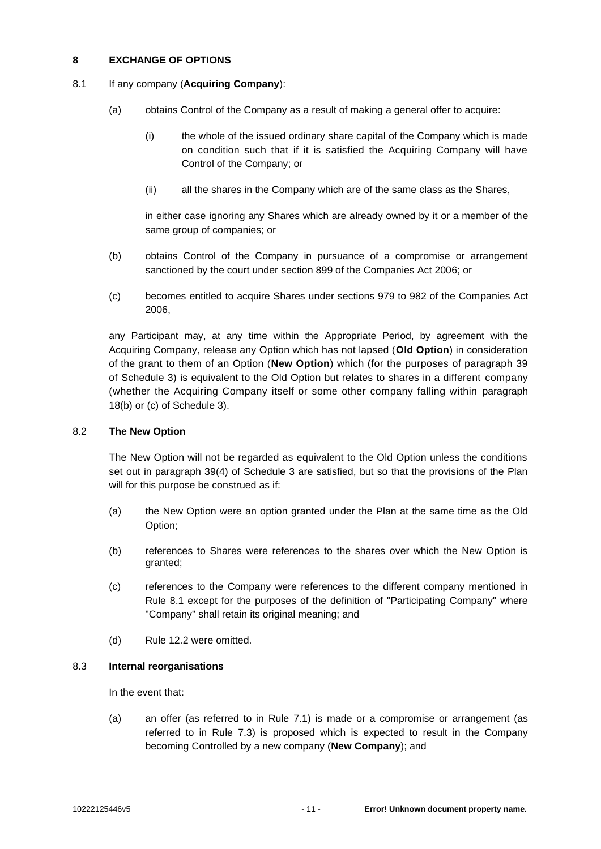# <span id="page-12-0"></span>**8 EXCHANGE OF OPTIONS**

# <span id="page-12-2"></span>8.1 If any company (**Acquiring Company**):

- (a) obtains Control of the Company as a result of making a general offer to acquire:
	- (i) the whole of the issued ordinary share capital of the Company which is made on condition such that if it is satisfied the Acquiring Company will have Control of the Company; or
	- (ii) all the shares in the Company which are of the same class as the Shares,

in either case ignoring any Shares which are already owned by it or a member of the same group of companies; or

- (b) obtains Control of the Company in pursuance of a compromise or arrangement sanctioned by the court under section 899 of the Companies Act 2006; or
- (c) becomes entitled to acquire Shares under sections 979 to 982 of the Companies Act 2006,

any Participant may, at any time within the Appropriate Period, by agreement with the Acquiring Company, release any Option which has not lapsed (**Old Option**) in consideration of the grant to them of an Option (**New Option**) which (for the purposes of paragraph 39 of Schedule 3) is equivalent to the Old Option but relates to shares in a different company (whether the Acquiring Company itself or some other company falling within paragraph 18(b) or (c) of Schedule 3).

# <span id="page-12-3"></span>8.2 **The New Option**

The New Option will not be regarded as equivalent to the Old Option unless the conditions set out in paragraph 39(4) of Schedule 3 are satisfied, but so that the provisions of the Plan will for this purpose be construed as if:

- (a) the New Option were an option granted under the Plan at the same time as the Old Option;
- (b) references to Shares were references to the shares over which the New Option is granted;
- (c) references to the Company were references to the different company mentioned in Rule [8.1](#page-12-2) except for the purposes of the definition of "Participating Company" where "Company" shall retain its original meaning; and
- (d) Rule [12.2](#page-16-0) were omitted.

# <span id="page-12-4"></span><span id="page-12-1"></span>8.3 **Internal reorganisations**

In the event that:

(a) an offer (as referred to in Rule [7.1\)](#page-11-1) is made or a compromise or arrangement (as referred to in Rule [7.3\)](#page-11-3) is proposed which is expected to result in the Company becoming Controlled by a new company (**New Company**); and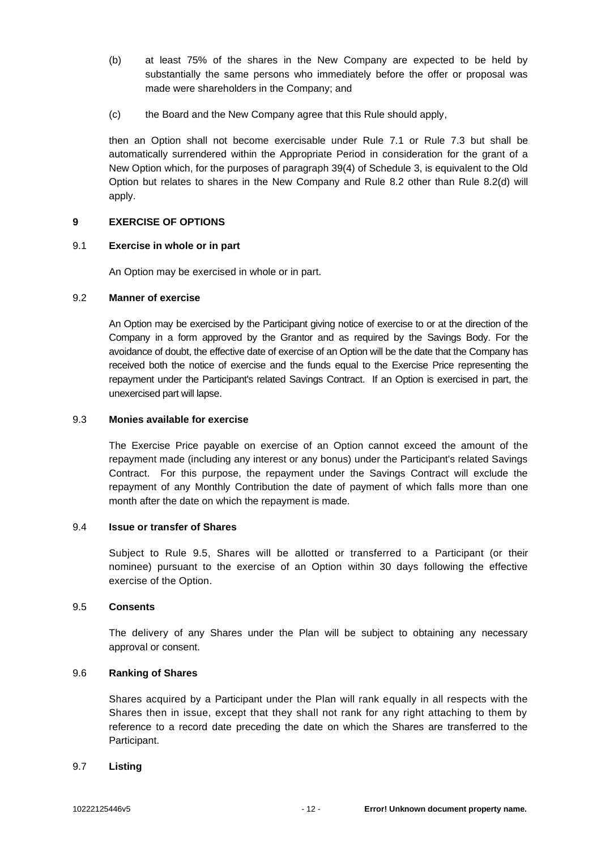- (b) at least 75% of the shares in the New Company are expected to be held by substantially the same persons who immediately before the offer or proposal was made were shareholders in the Company; and
- (c) the Board and the New Company agree that this Rule should apply,

then an Option shall not become exercisable under Rule [7.1](#page-11-1) or Rule [7.3](#page-11-3) but shall be automatically surrendered within the Appropriate Period in consideration for the grant of a New Option which, for the purposes of paragraph 39(4) of Schedule 3, is equivalent to the Old Option but relates to shares in the New Company and Rule [8.2](#page-12-3) other than Rule [8.2\(d\)](#page-12-4) will apply.

# **9 EXERCISE OF OPTIONS**

## 9.1 **Exercise in whole or in part**

An Option may be exercised in whole or in part.

# 9.2 **Manner of exercise**

An Option may be exercised by the Participant giving notice of exercise to or at the direction of the Company in a form approved by the Grantor and as required by the Savings Body. For the avoidance of doubt, the effective date of exercise of an Option will be the date that the Company has received both the notice of exercise and the funds equal to the Exercise Price representing the repayment under the Participant's related Savings Contract. If an Option is exercised in part, the unexercised part will lapse.

## 9.3 **Monies available for exercise**

The Exercise Price payable on exercise of an Option cannot exceed the amount of the repayment made (including any interest or any bonus) under the Participant's related Savings Contract. For this purpose, the repayment under the Savings Contract will exclude the repayment of any Monthly Contribution the date of payment of which falls more than one month after the date on which the repayment is made.

## 9.4 **Issue or transfer of Shares**

Subject to Rule [9.5,](#page-13-0) Shares will be allotted or transferred to a Participant (or their nominee) pursuant to the exercise of an Option within 30 days following the effective exercise of the Option.

## <span id="page-13-0"></span>9.5 **Consents**

The delivery of any Shares under the Plan will be subject to obtaining any necessary approval or consent.

# 9.6 **Ranking of Shares**

Shares acquired by a Participant under the Plan will rank equally in all respects with the Shares then in issue, except that they shall not rank for any right attaching to them by reference to a record date preceding the date on which the Shares are transferred to the Participant.

## 9.7 **Listing**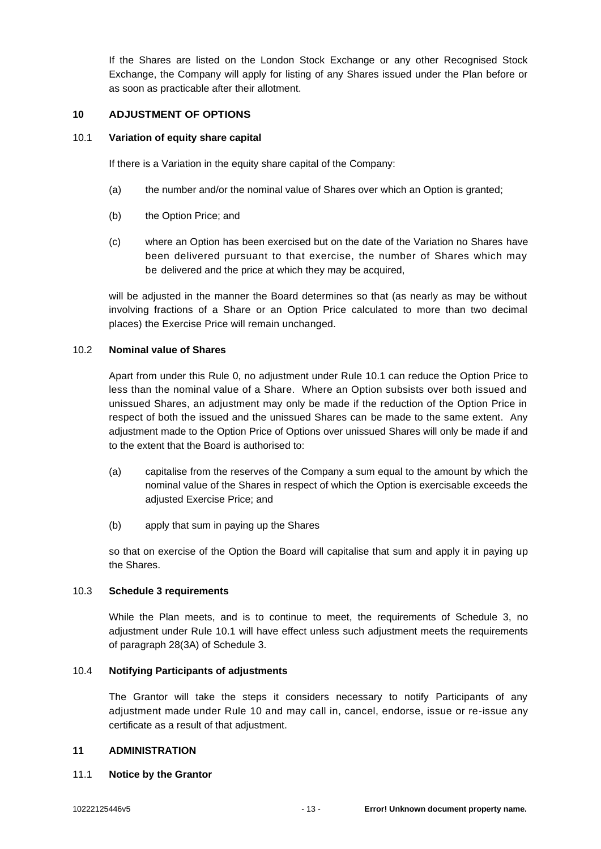If the Shares are listed on the London Stock Exchange or any other Recognised Stock Exchange, the Company will apply for listing of any Shares issued under the Plan before or as soon as practicable after their allotment.

# <span id="page-14-0"></span>**10 ADJUSTMENT OF OPTIONS**

## <span id="page-14-2"></span>10.1 **Variation of equity share capital**

If there is a Variation in the equity share capital of the Company:

- (a) the number and/or the nominal value of Shares over which an Option is granted;
- (b) the Option Price; and
- (c) where an Option has been exercised but on the date of the Variation no Shares have been delivered pursuant to that exercise, the number of Shares which may be delivered and the price at which they may be acquired,

<span id="page-14-1"></span>will be adjusted in the manner the Board determines so that (as nearly as may be without involving fractions of a Share or an Option Price calculated to more than two decimal places) the Exercise Price will remain unchanged.

# 10.2 **Nominal value of Shares**

Apart from under this Rule [0,](#page-14-1) no adjustment under Rule [10.1](#page-14-2) can reduce the Option Price to less than the nominal value of a Share. Where an Option subsists over both issued and unissued Shares, an adjustment may only be made if the reduction of the Option Price in respect of both the issued and the unissued Shares can be made to the same extent. Any adjustment made to the Option Price of Options over unissued Shares will only be made if and to the extent that the Board is authorised to:

- (a) capitalise from the reserves of the Company a sum equal to the amount by which the nominal value of the Shares in respect of which the Option is exercisable exceeds the adjusted Exercise Price; and
- (b) apply that sum in paying up the Shares

so that on exercise of the Option the Board will capitalise that sum and apply it in paying up the Shares.

## 10.3 **Schedule 3 requirements**

While the Plan meets, and is to continue to meet, the requirements of Schedule 3, no adjustment under Rule [10.1](#page-14-2) will have effect unless such adjustment meets the requirements of paragraph 28(3A) of Schedule 3.

## 10.4 **Notifying Participants of adjustments**

The Grantor will take the steps it considers necessary to notify Participants of any adjustment made under Rule [10](#page-14-0) and may call in, cancel, endorse, issue or re-issue any certificate as a result of that adjustment.

## **11 ADMINISTRATION**

## 11.1 **Notice by the Grantor**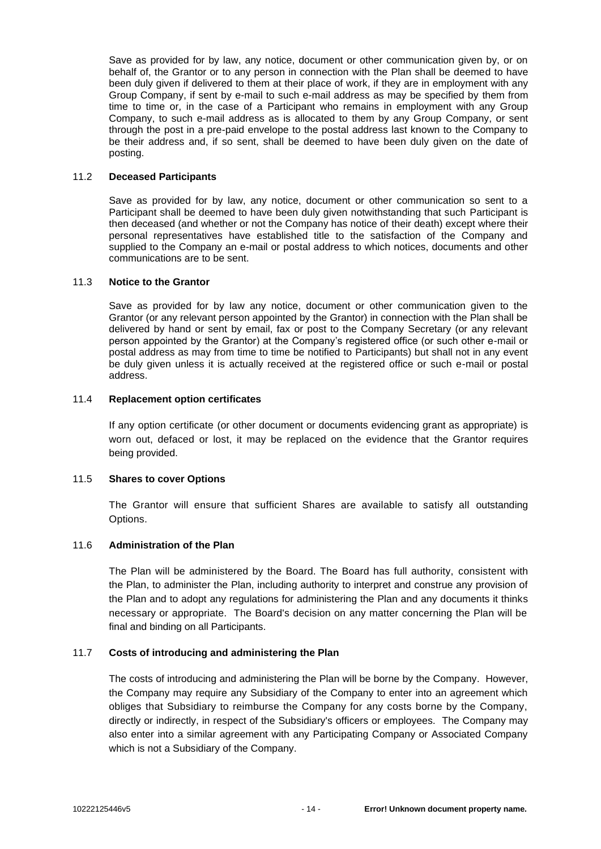Save as provided for by law, any notice, document or other communication given by, or on behalf of, the Grantor or to any person in connection with the Plan shall be deemed to have been duly given if delivered to them at their place of work, if they are in employment with any Group Company, if sent by e-mail to such e-mail address as may be specified by them from time to time or, in the case of a Participant who remains in employment with any Group Company, to such e-mail address as is allocated to them by any Group Company, or sent through the post in a pre-paid envelope to the postal address last known to the Company to be their address and, if so sent, shall be deemed to have been duly given on the date of posting.

# 11.2 **Deceased Participants**

Save as provided for by law, any notice, document or other communication so sent to a Participant shall be deemed to have been duly given notwithstanding that such Participant is then deceased (and whether or not the Company has notice of their death) except where their personal representatives have established title to the satisfaction of the Company and supplied to the Company an e-mail or postal address to which notices, documents and other communications are to be sent.

# 11.3 **Notice to the Grantor**

Save as provided for by law any notice, document or other communication given to the Grantor (or any relevant person appointed by the Grantor) in connection with the Plan shall be delivered by hand or sent by email, fax or post to the Company Secretary (or any relevant person appointed by the Grantor) at the Company's registered office (or such other e-mail or postal address as may from time to time be notified to Participants) but shall not in any event be duly given unless it is actually received at the registered office or such e-mail or postal address.

#### 11.4 **Replacement option certificates**

If any option certificate (or other document or documents evidencing grant as appropriate) is worn out, defaced or lost, it may be replaced on the evidence that the Grantor requires being provided.

## 11.5 **Shares to cover Options**

The Grantor will ensure that sufficient Shares are available to satisfy all outstanding Options.

# 11.6 **Administration of the Plan**

The Plan will be administered by the Board. The Board has full authority, consistent with the Plan, to administer the Plan, including authority to interpret and construe any provision of the Plan and to adopt any regulations for administering the Plan and any documents it thinks necessary or appropriate. The Board's decision on any matter concerning the Plan will be final and binding on all Participants.

## 11.7 **Costs of introducing and administering the Plan**

The costs of introducing and administering the Plan will be borne by the Company. However, the Company may require any Subsidiary of the Company to enter into an agreement which obliges that Subsidiary to reimburse the Company for any costs borne by the Company, directly or indirectly, in respect of the Subsidiary's officers or employees. The Company may also enter into a similar agreement with any Participating Company or Associated Company which is not a Subsidiary of the Company.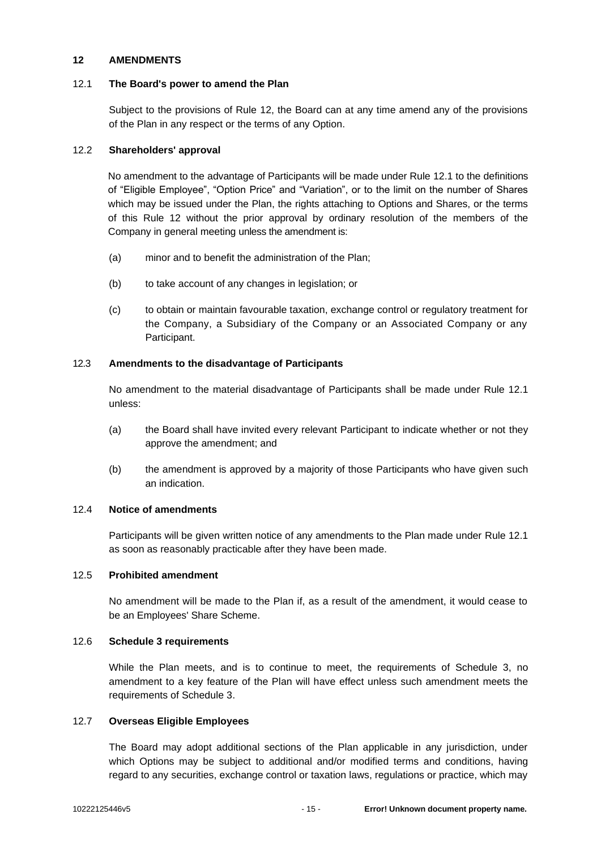# <span id="page-16-1"></span>**12 AMENDMENTS**

# <span id="page-16-2"></span>12.1 **The Board's power to amend the Plan**

Subject to the provisions of Rule [12,](#page-16-1) the Board can at any time amend any of the provisions of the Plan in any respect or the terms of any Option.

# <span id="page-16-0"></span>12.2 **Shareholders' approval**

No amendment to the advantage of Participants will be made under Rule [12.1](#page-16-2) to the definitions of "Eligible Employee", "Option Price" and "Variation", or to the limit on the number of Shares which may be issued under the Plan, the rights attaching to Options and Shares, or the terms of this Rule [12](#page-16-1) without the prior approval by ordinary resolution of the members of the Company in general meeting unless the amendment is:

- (a) minor and to benefit the administration of the Plan;
- (b) to take account of any changes in legislation; or
- (c) to obtain or maintain favourable taxation, exchange control or regulatory treatment for the Company, a Subsidiary of the Company or an Associated Company or any Participant.

# 12.3 **Amendments to the disadvantage of Participants**

No amendment to the material disadvantage of Participants shall be made under Rule [12.1](#page-16-2) unless:

- (a) the Board shall have invited every relevant Participant to indicate whether or not they approve the amendment; and
- (b) the amendment is approved by a majority of those Participants who have given such an indication.

## 12.4 **Notice of amendments**

Participants will be given written notice of any amendments to the Plan made under Rule [12.1](#page-16-2) as soon as reasonably practicable after they have been made.

## 12.5 **Prohibited amendment**

No amendment will be made to the Plan if, as a result of the amendment, it would cease to be an Employees' Share Scheme.

## 12.6 **Schedule 3 requirements**

While the Plan meets, and is to continue to meet, the requirements of Schedule 3, no amendment to a key feature of the Plan will have effect unless such amendment meets the requirements of Schedule 3.

# 12.7 **Overseas Eligible Employees**

The Board may adopt additional sections of the Plan applicable in any jurisdiction, under which Options may be subject to additional and/or modified terms and conditions, having regard to any securities, exchange control or taxation laws, regulations or practice, which may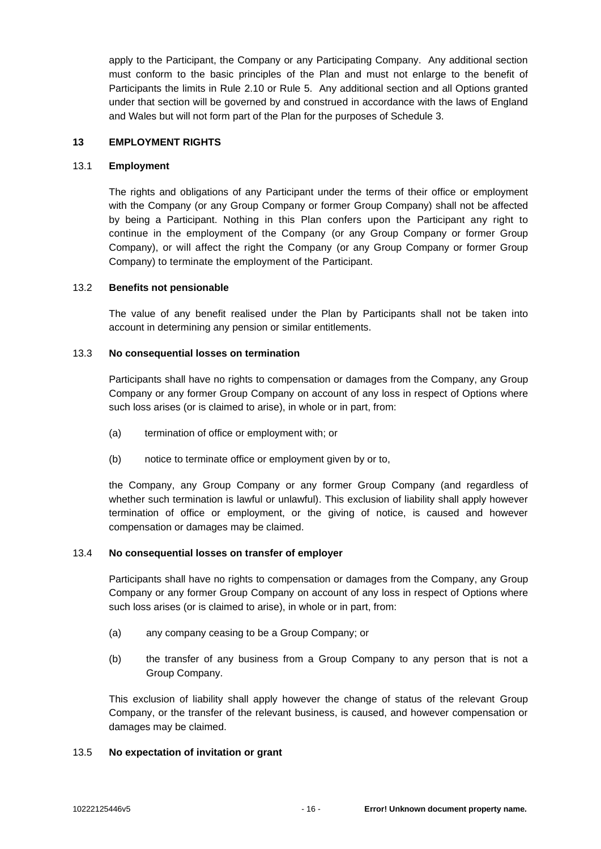apply to the Participant, the Company or any Participating Company. Any additional section must conform to the basic principles of the Plan and must not enlarge to the benefit of Participants the limits in Rule [2.10](#page-7-2) or Rule [5.](#page-9-0) Any additional section and all Options granted under that section will be governed by and construed in accordance with the laws of England and Wales but will not form part of the Plan for the purposes of Schedule 3.

# **13 EMPLOYMENT RIGHTS**

## 13.1 **Employment**

The rights and obligations of any Participant under the terms of their office or employment with the Company (or any Group Company or former Group Company) shall not be affected by being a Participant. Nothing in this Plan confers upon the Participant any right to continue in the employment of the Company (or any Group Company or former Group Company), or will affect the right the Company (or any Group Company or former Group Company) to terminate the employment of the Participant.

## 13.2 **Benefits not pensionable**

The value of any benefit realised under the Plan by Participants shall not be taken into account in determining any pension or similar entitlements.

## 13.3 **No consequential losses on termination**

Participants shall have no rights to compensation or damages from the Company, any Group Company or any former Group Company on account of any loss in respect of Options where such loss arises (or is claimed to arise), in whole or in part, from:

- (a) termination of office or employment with; or
- (b) notice to terminate office or employment given by or to,

the Company, any Group Company or any former Group Company (and regardless of whether such termination is lawful or unlawful). This exclusion of liability shall apply however termination of office or employment, or the giving of notice, is caused and however compensation or damages may be claimed.

## 13.4 **No consequential losses on transfer of employer**

Participants shall have no rights to compensation or damages from the Company, any Group Company or any former Group Company on account of any loss in respect of Options where such loss arises (or is claimed to arise), in whole or in part, from:

- (a) any company ceasing to be a Group Company; or
- (b) the transfer of any business from a Group Company to any person that is not a Group Company.

This exclusion of liability shall apply however the change of status of the relevant Group Company, or the transfer of the relevant business, is caused, and however compensation or damages may be claimed.

## 13.5 **No expectation of invitation or grant**